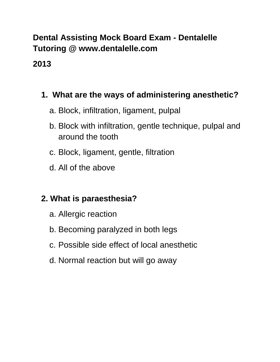# **Dental Assisting Mock Board Exam - Dentalelle Tutoring @ www.dentalelle.com**

# **2013**

# **1. What are the ways of administering anesthetic?**

- a. Block, infiltration, ligament, pulpal
- b. Block with infiltration, gentle technique, pulpal and around the tooth
- c. Block, ligament, gentle, filtration
- d. All of the above

# **2. What is paraesthesia?**

- a. Allergic reaction
- b. Becoming paralyzed in both legs
- c. Possible side effect of local anesthetic
- d. Normal reaction but will go away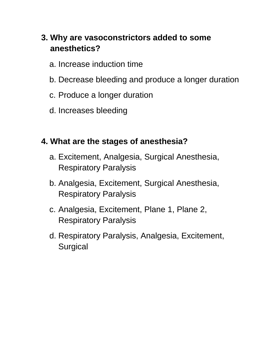# **3. Why are vasoconstrictors added to some anesthetics?**

- a. Increase induction time
- b. Decrease bleeding and produce a longer duration
- c. Produce a longer duration
- d. Increases bleeding

### **4. What are the stages of anesthesia?**

- a. Excitement, Analgesia, Surgical Anesthesia, Respiratory Paralysis
- b. Analgesia, Excitement, Surgical Anesthesia, Respiratory Paralysis
- c. Analgesia, Excitement, Plane 1, Plane 2, Respiratory Paralysis
- d. Respiratory Paralysis, Analgesia, Excitement, **Surgical**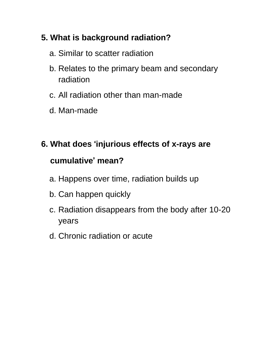# **5. What is background radiation?**

- a. Similar to scatter radiation
- b. Relates to the primary beam and secondary radiation
- c. All radiation other than man-made
- d. Man-made

# **6. What does** '**injurious effects of x-rays are cumulative**' **mean?**

- a. Happens over time, radiation builds up
- b. Can happen quickly
- c. Radiation disappears from the body after 10-20 years
- d. Chronic radiation or acute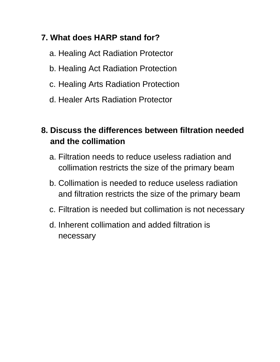# **7. What does HARP stand for?**

- a. Healing Act Radiation Protector
- b. Healing Act Radiation Protection
- c. Healing Arts Radiation Protection
- d. Healer Arts Radiation Protector

# **8. Discuss the differences between filtration needed and the collimation**

- a. Filtration needs to reduce useless radiation and collimation restricts the size of the primary beam
- b. Collimation is needed to reduce useless radiation and filtration restricts the size of the primary beam
- c. Filtration is needed but collimation is not necessary
- d. Inherent collimation and added filtration is necessary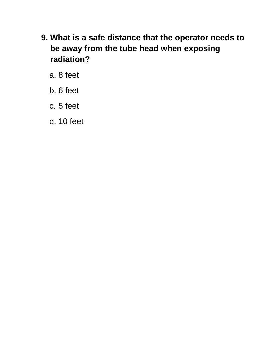- **9. What is a safe distance that the operator needs to be away from the tube head when exposing radiation?**
	- a. 8 feet
	- b. 6 feet
	- c. 5 feet
	- d. 10 feet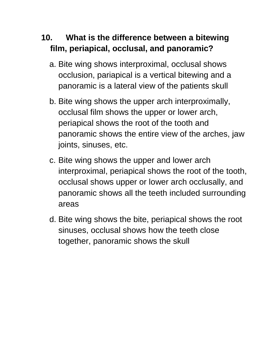# **10. What is the difference between a bitewing film, periapical, occlusal, and panoramic?**

- a. Bite wing shows interproximal, occlusal shows occlusion, pariapical is a vertical bitewing and a panoramic is a lateral view of the patients skull
- b. Bite wing shows the upper arch interproximally, occlusal film shows the upper or lower arch, periapical shows the root of the tooth and panoramic shows the entire view of the arches, jaw joints, sinuses, etc.
- c. Bite wing shows the upper and lower arch interproximal, periapical shows the root of the tooth, occlusal shows upper or lower arch occlusally, and panoramic shows all the teeth included surrounding areas
- d. Bite wing shows the bite, periapical shows the root sinuses, occlusal shows how the teeth close together, panoramic shows the skull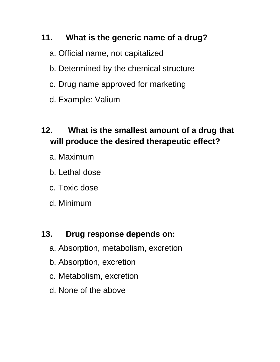# **11. What is the generic name of a drug?**

- a. Official name, not capitalized
- b. Determined by the chemical structure
- c. Drug name approved for marketing
- d. Example: Valium

# **12. What is the smallest amount of a drug that will produce the desired therapeutic effect?**

- a. Maximum
- b. Lethal dose
- c. Toxic dose
- d. Minimum

# **13. Drug response depends on:**

- a. Absorption, metabolism, excretion
- b. Absorption, excretion
- c. Metabolism, excretion
- d. None of the above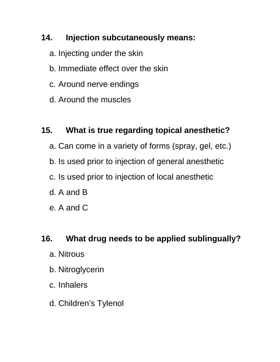# **14. Injection subcutaneously means:**

- a. Injecting under the skin
- b. Immediate effect over the skin
- c. Around nerve endings
- d. Around the muscles

# **15. What is true regarding topical anesthetic?**

- a. Can come in a variety of forms (spray, gel, etc.)
- b. Is used prior to injection of general anesthetic
- c. Is used prior to injection of local anesthetic
- d. A and B
- e. A and C

### **16. What drug needs to be applied sublingually?**

- a. Nitrous
- b. Nitroglycerin
- c. Inhalers
- d. Children's Tylenol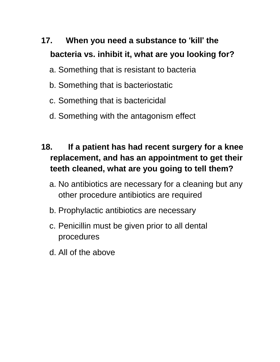# **17. When you need a substance to** '**kill**' **the bacteria vs. inhibit it, what are you looking for?**

- a. Something that is resistant to bacteria
- b. Something that is bacteriostatic
- c. Something that is bactericidal
- d. Something with the antagonism effect

# **18. If a patient has had recent surgery for a knee replacement, and has an appointment to get their teeth cleaned, what are you going to tell them?**

- a. No antibiotics are necessary for a cleaning but any other procedure antibiotics are required
- b. Prophylactic antibiotics are necessary
- c. Penicillin must be given prior to all dental procedures
- d. All of the above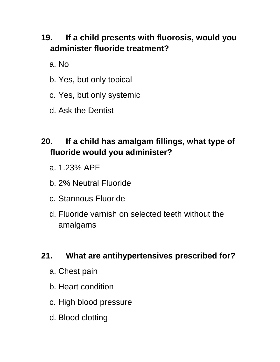# **19. If a child presents with fluorosis, would you administer fluoride treatment?**

a. No

- b. Yes, but only topical
- c. Yes, but only systemic
- d. Ask the Dentist

# **20. If a child has amalgam fillings, what type of fluoride would you administer?**

- a. 1.23% APF
- b. 2% Neutral Fluoride
- c. Stannous Fluoride
- d. Fluoride varnish on selected teeth without the amalgams

### **21. What are antihypertensives prescribed for?**

- a. Chest pain
- b. Heart condition
- c. High blood pressure
- d. Blood clotting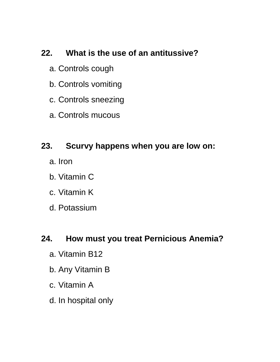### **22. What is the use of an antitussive?**

- a. Controls cough
- b. Controls vomiting
- c. Controls sneezing
- a. Controls mucous

#### **23. Scurvy happens when you are low on:**

- a. Iron
- b. Vitamin C
- c. Vitamin K
- d. Potassium

#### **24. How must you treat Pernicious Anemia?**

- a. Vitamin B12
- b. Any Vitamin B
- c. Vitamin A
- d. In hospital only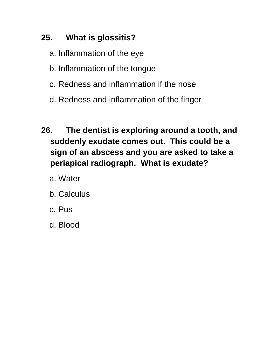# **25. What is glossitis?**

- a. Inflammation of the eye
- b. Inflammation of the tongue
- c. Redness and inflammation if the nose
- d. Redness and inflammation of the finger
- **26. The dentist is exploring around a tooth, and suddenly exudate comes out. This could be a sign of an abscess and you are asked to take a periapical radiograph. What is exudate?**
	- a. Water
	- b. Calculus
	- c. Pus
	- d. Blood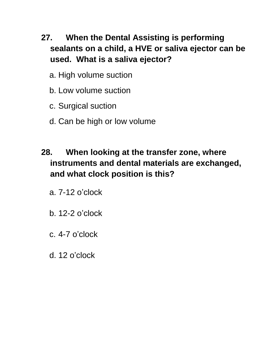- **27. When the Dental Assisting is performing sealants on a child, a HVE or saliva ejector can be used. What is a saliva ejector?**
	- a. High volume suction
	- b. Low volume suction
	- c. Surgical suction
	- d. Can be high or low volume
- **28. When looking at the transfer zone, where instruments and dental materials are exchanged, and what clock position is this?**
	- a. 7-12 o'clock
	- b. 12-2 o'clock
	- c. 4-7 o'clock
	- d. 12 o'clock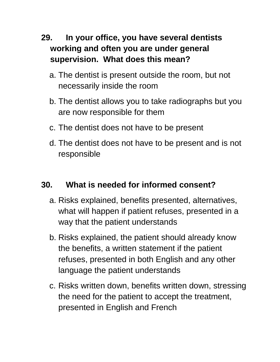- **29. In your office, you have several dentists working and often you are under general supervision. What does this mean?**
	- a. The dentist is present outside the room, but not necessarily inside the room
	- b. The dentist allows you to take radiographs but you are now responsible for them
	- c. The dentist does not have to be present
	- d. The dentist does not have to be present and is not responsible

### **30. What is needed for informed consent?**

- a. Risks explained, benefits presented, alternatives, what will happen if patient refuses, presented in a way that the patient understands
- b. Risks explained, the patient should already know the benefits, a written statement if the patient refuses, presented in both English and any other language the patient understands
- c. Risks written down, benefits written down, stressing the need for the patient to accept the treatment, presented in English and French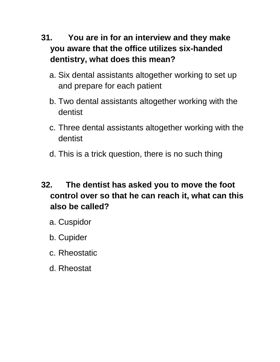# **31. You are in for an interview and they make you aware that the office utilizes six-handed dentistry, what does this mean?**

- a. Six dental assistants altogether working to set up and prepare for each patient
- b. Two dental assistants altogether working with the dentist
- c. Three dental assistants altogether working with the dentist
- d. This is a trick question, there is no such thing

# **32. The dentist has asked you to move the foot control over so that he can reach it, what can this also be called?**

- a. Cuspidor
- b. Cupider
- c. Rheostatic
- d. Rheostat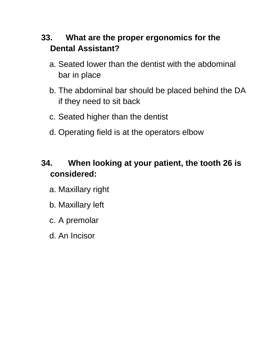# **33. What are the proper ergonomics for the Dental Assistant?**

- a. Seated lower than the dentist with the abdominal bar in place
- b. The abdominal bar should be placed behind the DA if they need to sit back
- c. Seated higher than the dentist
- d. Operating field is at the operators elbow

# **34. When looking at your patient, the tooth 26 is considered:**

- a. Maxillary right
- b. Maxillary left
- c. A premolar
- d. An Incisor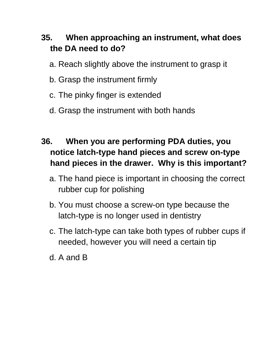# **35. When approaching an instrument, what does the DA need to do?**

- a. Reach slightly above the instrument to grasp it
- b. Grasp the instrument firmly
- c. The pinky finger is extended
- d. Grasp the instrument with both hands

# **36. When you are performing PDA duties, you notice latch-type hand pieces and screw on-type hand pieces in the drawer. Why is this important?**

- a. The hand piece is important in choosing the correct rubber cup for polishing
- b. You must choose a screw-on type because the latch-type is no longer used in dentistry
- c. The latch-type can take both types of rubber cups if needed, however you will need a certain tip
- d. A and B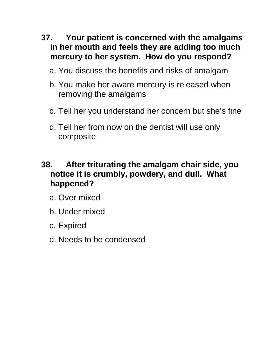- **37. Your patient is concerned with the amalgams in her mouth and feels they are adding too much mercury to her system. How do you respond?**
	- a. You discuss the benefits and risks of amalgam
	- b. You make her aware mercury is released when removing the amalgams
	- c. Tell her you understand her concern but she's fine
	- d. Tell her from now on the dentist will use only composite

### **38. After triturating the amalgam chair side, you notice it is crumbly, powdery, and dull. What happened?**

- a. Over mixed
- b. Under mixed
- c. Expired
- d. Needs to be condensed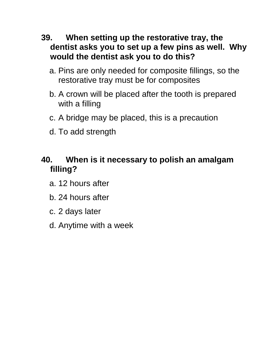- **39. When setting up the restorative tray, the dentist asks you to set up a few pins as well. Why would the dentist ask you to do this?**
	- a. Pins are only needed for composite fillings, so the restorative tray must be for composites
	- b. A crown will be placed after the tooth is prepared with a filling
	- c. A bridge may be placed, this is a precaution
	- d. To add strength

# **40. When is it necessary to polish an amalgam filling?**

- a. 12 hours after
- b. 24 hours after
- c. 2 days later
- d. Anytime with a week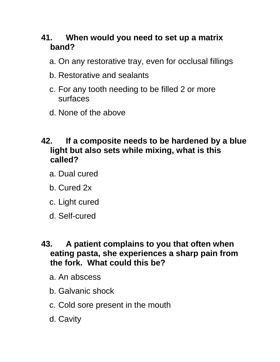# **41. When would you need to set up a matrix band?**

- a. On any restorative tray, even for occlusal fillings
- b. Restorative and sealants
- c. For any tooth needing to be filled 2 or more surfaces
- d. None of the above

#### **42. If a composite needs to be hardened by a blue light but also sets while mixing, what is this called?**

- a. Dual cured
- b. Cured 2x
- c. Light cured
- d. Self-cured

#### **43. A patient complains to you that often when eating pasta, she experiences a sharp pain from the fork. What could this be?**

- a. An abscess
- b. Galvanic shock
- c. Cold sore present in the mouth
- d. Cavity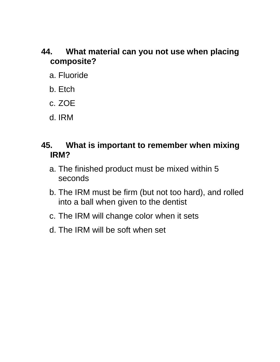### **44. What material can you not use when placing composite?**

- a. Fluoride
- b. Etch
- c. ZOE
- d. IRM

#### **45. What is important to remember when mixing IRM?**

- a. The finished product must be mixed within 5 seconds
- b. The IRM must be firm (but not too hard), and rolled into a ball when given to the dentist
- c. The IRM will change color when it sets
- d. The IRM will be soft when set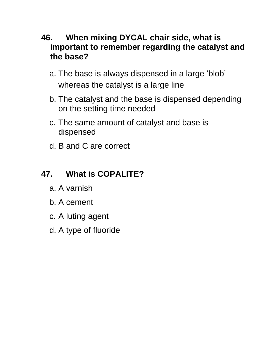#### **46. When mixing DYCAL chair side, what is important to remember regarding the catalyst and the base?**

- a. The base is always dispensed in a large 'blob' whereas the catalyst is a large line
- b. The catalyst and the base is dispensed depending on the setting time needed
- c. The same amount of catalyst and base is dispensed
- d. B and C are correct

# **47. What is COPALITE?**

- a. A varnish
- b. A cement
- c. A luting agent
- d. A type of fluoride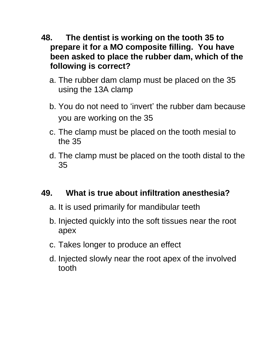- **48. The dentist is working on the tooth 35 to prepare it for a MO composite filling. You have been asked to place the rubber dam, which of the following is correct?**
	- a. The rubber dam clamp must be placed on the 35 using the 13A clamp
	- b. You do not need to 'invert' the rubber dam because you are working on the 35
	- c. The clamp must be placed on the tooth mesial to the 35
	- d. The clamp must be placed on the tooth distal to the 35

### **49. What is true about infiltration anesthesia?**

- a. It is used primarily for mandibular teeth
- b. Injected quickly into the soft tissues near the root apex
- c. Takes longer to produce an effect
- d. Injected slowly near the root apex of the involved tooth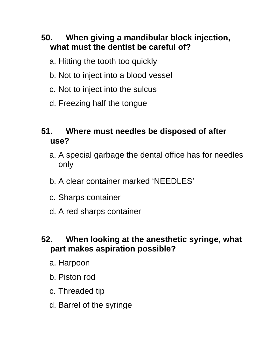# **50. When giving a mandibular block injection, what must the dentist be careful of?**

- a. Hitting the tooth too quickly
- b. Not to inject into a blood vessel
- c. Not to inject into the sulcus
- d. Freezing half the tongue

# **51. Where must needles be disposed of after use?**

- a. A special garbage the dental office has for needles only
- b. A clear container marked 'NEEDLES'
- c. Sharps container
- d. A red sharps container

### **52. When looking at the anesthetic syringe, what part makes aspiration possible?**

- a. Harpoon
- b. Piston rod
- c. Threaded tip
- d. Barrel of the syringe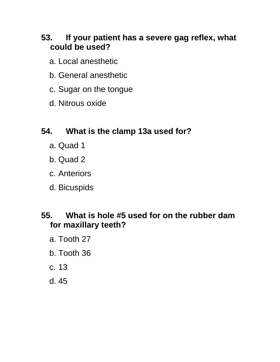### **53. If your patient has a severe gag reflex, what could be used?**

- a. Local anesthetic
- b. General anesthetic
- c. Sugar on the tongue
- d. Nitrous oxide

# **54. What is the clamp 13a used for?**

- a. Quad 1
- b. Quad 2
- c. Anteriors
- d. Bicuspids

### **55. What is hole #5 used for on the rubber dam for maxillary teeth?**

- a. Tooth 27
- b. Tooth 36
- c. 13
- d. 45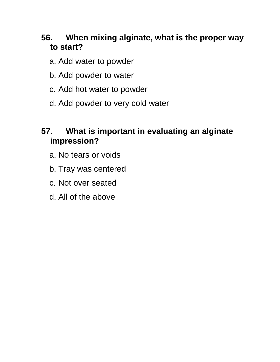# **56. When mixing alginate, what is the proper way to start?**

- a. Add water to powder
- b. Add powder to water
- c. Add hot water to powder
- d. Add powder to very cold water

# **57. What is important in evaluating an alginate impression?**

- a. No tears or voids
- b. Tray was centered
- c. Not over seated
- d. All of the above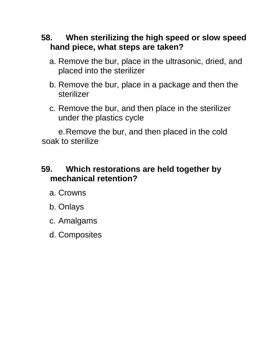- **58. When sterilizing the high speed or slow speed hand piece, what steps are taken?**
	- a. Remove the bur, place in the ultrasonic, dried, and placed into the sterilizer
	- b. Remove the bur, place in a package and then the sterilizer
	- c. Remove the bur, and then place in the sterilizer under the plastics cycle

e.Remove the bur, and then placed in the cold soak to sterilize

#### **59. Which restorations are held together by mechanical retention?**

- a. Crowns
- b. Onlays
- c. Amalgams
- d. Composites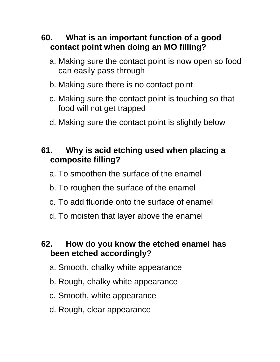# **60. What is an important function of a good contact point when doing an MO filling?**

- a. Making sure the contact point is now open so food can easily pass through
- b. Making sure there is no contact point
- c. Making sure the contact point is touching so that food will not get trapped
- d. Making sure the contact point is slightly below

# **61. Why is acid etching used when placing a composite filling?**

- a. To smoothen the surface of the enamel
- b. To roughen the surface of the enamel
- c. To add fluoride onto the surface of enamel
- d. To moisten that layer above the enamel

#### **62. How do you know the etched enamel has been etched accordingly?**

- a. Smooth, chalky white appearance
- b. Rough, chalky white appearance
- c. Smooth, white appearance
- d. Rough, clear appearance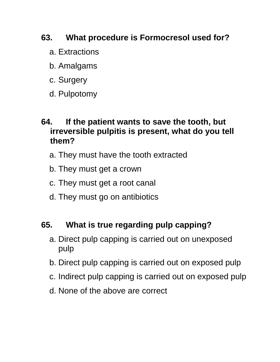# **63. What procedure is Formocresol used for?**

- a. Extractions
- b. Amalgams
- c. Surgery
- d. Pulpotomy

#### **64. If the patient wants to save the tooth, but irreversible pulpitis is present, what do you tell them?**

- a. They must have the tooth extracted
- b. They must get a crown
- c. They must get a root canal
- d. They must go on antibiotics

### **65. What is true regarding pulp capping?**

- a. Direct pulp capping is carried out on unexposed pulp
- b. Direct pulp capping is carried out on exposed pulp
- c. Indirect pulp capping is carried out on exposed pulp
- d. None of the above are correct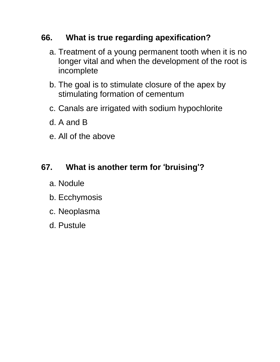# **66. What is true regarding apexification?**

- a. Treatment of a young permanent tooth when it is no longer vital and when the development of the root is incomplete
- b. The goal is to stimulate closure of the apex by stimulating formation of cementum
- c. Canals are irrigated with sodium hypochlorite
- d. A and B
- e. All of the above

# **67. What is another term for** '**bruising**'**?**

- a. Nodule
- b. Ecchymosis
- c. Neoplasma
- d. Pustule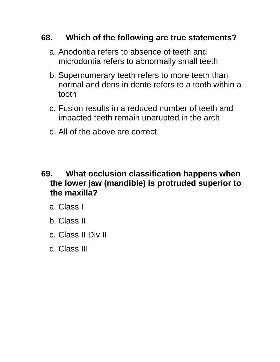### **68. Which of the following are true statements?**

- a. Anodontia refers to absence of teeth and microdontia refers to abnormally small teeth
- b. Supernumerary teeth refers to more teeth than normal and dens in dente refers to a tooth within a tooth
- c. Fusion results in a reduced number of teeth and impacted teeth remain unerupted in the arch
- d. All of the above are correct

#### **69. What occlusion classification happens when the lower jaw (mandible) is protruded superior to the maxilla?**

- a. Class I
- b. Class II
- c. Class II Div II
- d. Class III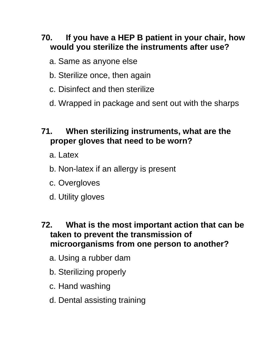# **70. If you have a HEP B patient in your chair, how would you sterilize the instruments after use?**

- a. Same as anyone else
- b. Sterilize once, then again
- c. Disinfect and then sterilize
- d. Wrapped in package and sent out with the sharps

# **71. When sterilizing instruments, what are the proper gloves that need to be worn?**

- a. Latex
- b. Non-latex if an allergy is present
- c. Overgloves
- d. Utility gloves

#### **72. What is the most important action that can be taken to prevent the transmission of microorganisms from one person to another?**

- a. Using a rubber dam
- b. Sterilizing properly
- c. Hand washing
- d. Dental assisting training